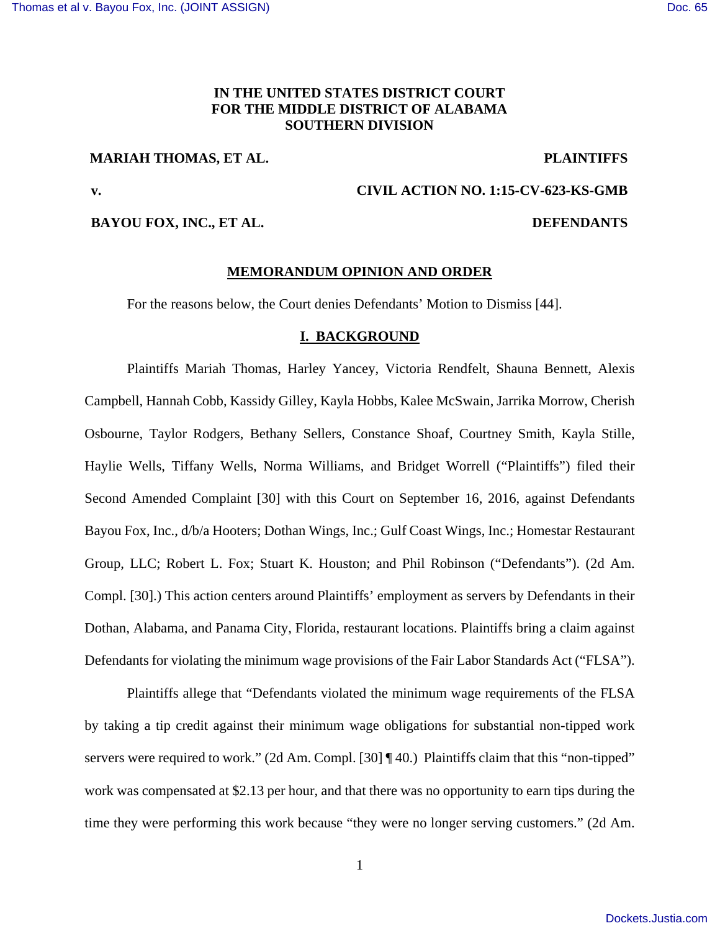# **IN THE UNITED STATES DISTRICT COURT FOR THE MIDDLE DISTRICT OF ALABAMA SOUTHERN DIVISION**

# **MARIAH THOMAS, ET AL. PLAINTIFFS**

**v. CIVIL ACTION NO. 1:15-CV-623-KS-GMB**

**BAYOU FOX, INC., ET AL. DEFENDANTS**

### **MEMORANDUM OPINION AND ORDER**

For the reasons below, the Court denies Defendants' Motion to Dismiss [44].

#### **I. BACKGROUND**

 Plaintiffs Mariah Thomas, Harley Yancey, Victoria Rendfelt, Shauna Bennett, Alexis Campbell, Hannah Cobb, Kassidy Gilley, Kayla Hobbs, Kalee McSwain, Jarrika Morrow, Cherish Osbourne, Taylor Rodgers, Bethany Sellers, Constance Shoaf, Courtney Smith, Kayla Stille, Haylie Wells, Tiffany Wells, Norma Williams, and Bridget Worrell ("Plaintiffs") filed their Second Amended Complaint [30] with this Court on September 16, 2016, against Defendants Bayou Fox, Inc., d/b/a Hooters; Dothan Wings, Inc.; Gulf Coast Wings, Inc.; Homestar Restaurant Group, LLC; Robert L. Fox; Stuart K. Houston; and Phil Robinson ("Defendants"). (2d Am. Compl. [30].) This action centers around Plaintiffs' employment as servers by Defendants in their Dothan, Alabama, and Panama City, Florida, restaurant locations. Plaintiffs bring a claim against Defendants for violating the minimum wage provisions of the Fair Labor Standards Act ("FLSA").

 Plaintiffs allege that "Defendants violated the minimum wage requirements of the FLSA by taking a tip credit against their minimum wage obligations for substantial non-tipped work servers were required to work." (2d Am. Compl. [30] ¶ 40.) Plaintiffs claim that this "non-tipped" work was compensated at \$2.13 per hour, and that there was no opportunity to earn tips during the time they were performing this work because "they were no longer serving customers." (2d Am.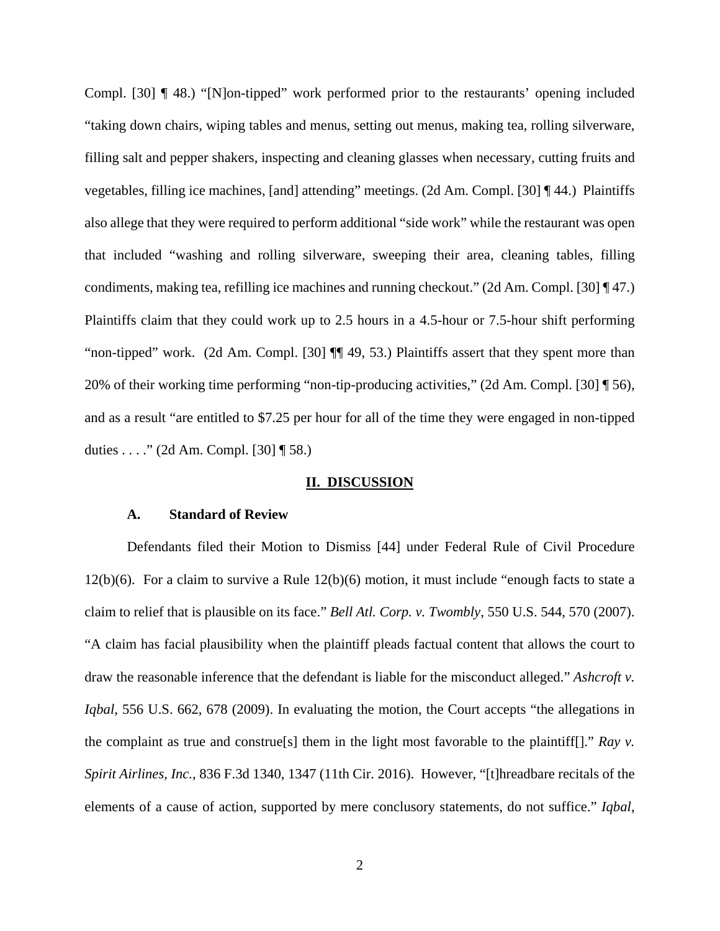Compl. [30] ¶ 48.) "[N]on-tipped" work performed prior to the restaurants' opening included "taking down chairs, wiping tables and menus, setting out menus, making tea, rolling silverware, filling salt and pepper shakers, inspecting and cleaning glasses when necessary, cutting fruits and vegetables, filling ice machines, [and] attending" meetings. (2d Am. Compl. [30] ¶ 44.) Plaintiffs also allege that they were required to perform additional "side work" while the restaurant was open that included "washing and rolling silverware, sweeping their area, cleaning tables, filling condiments, making tea, refilling ice machines and running checkout." (2d Am. Compl. [30] ¶ 47.) Plaintiffs claim that they could work up to 2.5 hours in a 4.5-hour or 7.5-hour shift performing "non-tipped" work. (2d Am. Compl. [30] ¶¶ 49, 53.) Plaintiffs assert that they spent more than 20% of their working time performing "non-tip-producing activities," (2d Am. Compl. [30] ¶ 56), and as a result "are entitled to \$7.25 per hour for all of the time they were engaged in non-tipped duties . . . ." (2d Am. Compl. [30] ¶ 58.)

#### **II. DISCUSSION**

#### **A. Standard of Review**

Defendants filed their Motion to Dismiss [44] under Federal Rule of Civil Procedure 12(b)(6). For a claim to survive a Rule 12(b)(6) motion, it must include "enough facts to state a claim to relief that is plausible on its face." *Bell Atl. Corp. v. Twombly*, 550 U.S. 544, 570 (2007). "A claim has facial plausibility when the plaintiff pleads factual content that allows the court to draw the reasonable inference that the defendant is liable for the misconduct alleged." *Ashcroft v. Iqbal*, 556 U.S. 662, 678 (2009). In evaluating the motion, the Court accepts "the allegations in the complaint as true and construe[s] them in the light most favorable to the plaintiff[]." *Ray v. Spirit Airlines, Inc.*, 836 F.3d 1340, 1347 (11th Cir. 2016). However, "[t]hreadbare recitals of the elements of a cause of action, supported by mere conclusory statements, do not suffice." *Iqbal*,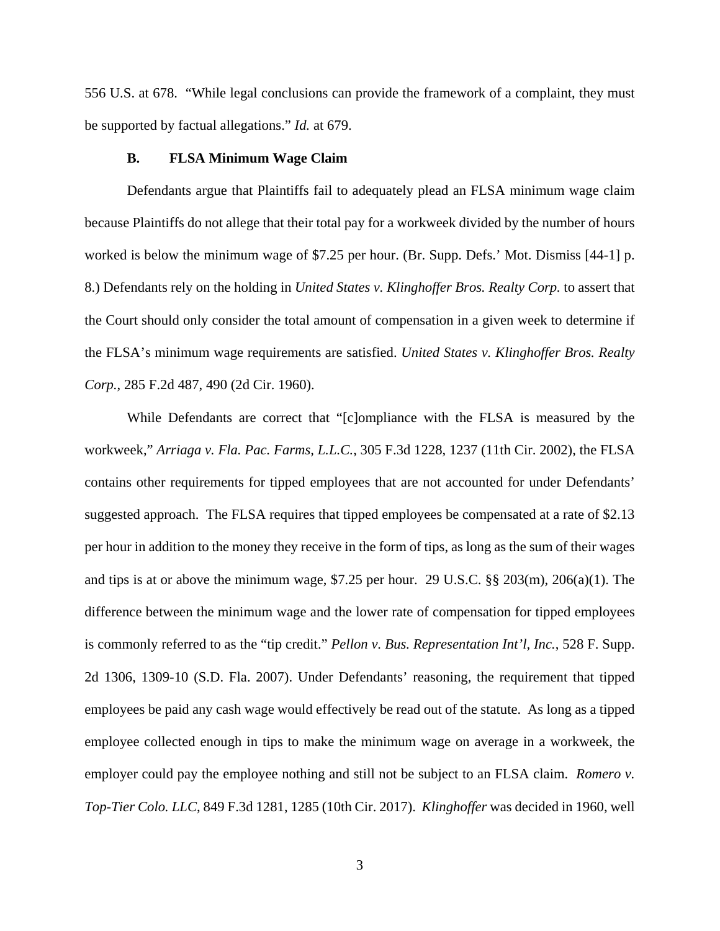556 U.S. at 678. "While legal conclusions can provide the framework of a complaint, they must be supported by factual allegations." *Id.* at 679.

#### **B. FLSA Minimum Wage Claim**

Defendants argue that Plaintiffs fail to adequately plead an FLSA minimum wage claim because Plaintiffs do not allege that their total pay for a workweek divided by the number of hours worked is below the minimum wage of \$7.25 per hour. (Br. Supp. Defs.' Mot. Dismiss [44-1] p. 8.) Defendants rely on the holding in *United States v. Klinghoffer Bros. Realty Corp.* to assert that the Court should only consider the total amount of compensation in a given week to determine if the FLSA's minimum wage requirements are satisfied. *United States v. Klinghoffer Bros. Realty Corp.*, 285 F.2d 487, 490 (2d Cir. 1960).

While Defendants are correct that "[c]ompliance with the FLSA is measured by the workweek," *Arriaga v. Fla. Pac. Farms, L.L.C.*, 305 F.3d 1228, 1237 (11th Cir. 2002), the FLSA contains other requirements for tipped employees that are not accounted for under Defendants' suggested approach. The FLSA requires that tipped employees be compensated at a rate of \$2.13 per hour in addition to the money they receive in the form of tips, as long as the sum of their wages and tips is at or above the minimum wage,  $$7.25$  per hour. 29 U.S.C.  $\frac{8}{5}$  203(m), 206(a)(1). The difference between the minimum wage and the lower rate of compensation for tipped employees is commonly referred to as the "tip credit." *Pellon v. Bus. Representation Int'l, Inc.*, 528 F. Supp. 2d 1306, 1309-10 (S.D. Fla. 2007). Under Defendants' reasoning, the requirement that tipped employees be paid any cash wage would effectively be read out of the statute. As long as a tipped employee collected enough in tips to make the minimum wage on average in a workweek, the employer could pay the employee nothing and still not be subject to an FLSA claim. *Romero v. Top-Tier Colo. LLC*, 849 F.3d 1281, 1285 (10th Cir. 2017). *Klinghoffer* was decided in 1960, well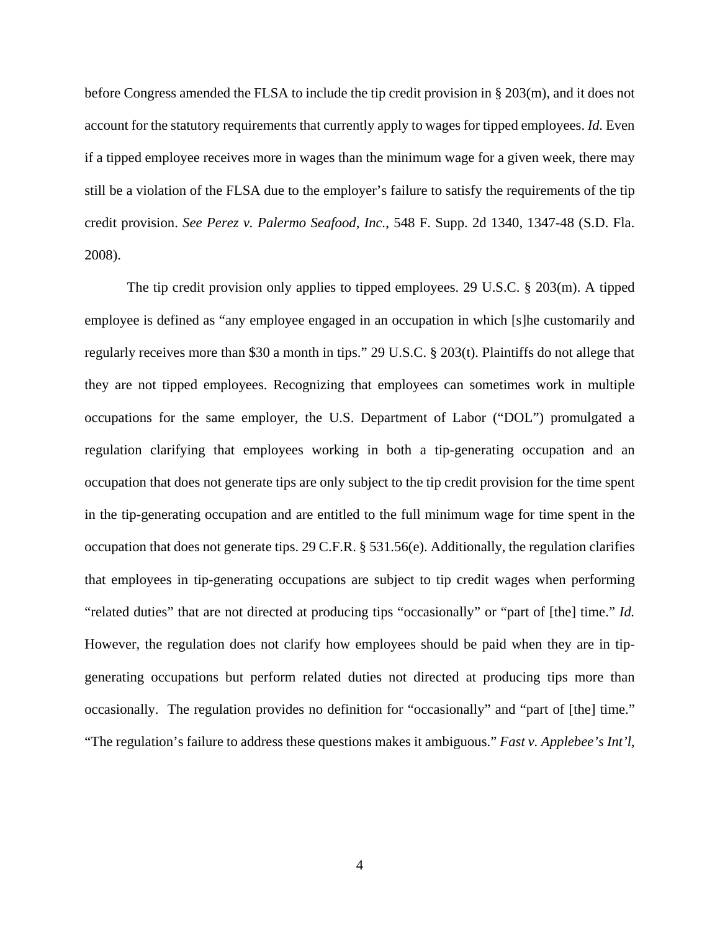before Congress amended the FLSA to include the tip credit provision in § 203(m), and it does not account for the statutory requirements that currently apply to wages for tipped employees. *Id.* Even if a tipped employee receives more in wages than the minimum wage for a given week, there may still be a violation of the FLSA due to the employer's failure to satisfy the requirements of the tip credit provision. *See Perez v. Palermo Seafood, Inc.*, 548 F. Supp. 2d 1340, 1347-48 (S.D. Fla. 2008).

The tip credit provision only applies to tipped employees. 29 U.S.C. § 203(m). A tipped employee is defined as "any employee engaged in an occupation in which [s]he customarily and regularly receives more than \$30 a month in tips." 29 U.S.C. § 203(t). Plaintiffs do not allege that they are not tipped employees. Recognizing that employees can sometimes work in multiple occupations for the same employer, the U.S. Department of Labor ("DOL") promulgated a regulation clarifying that employees working in both a tip-generating occupation and an occupation that does not generate tips are only subject to the tip credit provision for the time spent in the tip-generating occupation and are entitled to the full minimum wage for time spent in the occupation that does not generate tips. 29 C.F.R. § 531.56(e). Additionally, the regulation clarifies that employees in tip-generating occupations are subject to tip credit wages when performing "related duties" that are not directed at producing tips "occasionally" or "part of [the] time." *Id.* However, the regulation does not clarify how employees should be paid when they are in tipgenerating occupations but perform related duties not directed at producing tips more than occasionally. The regulation provides no definition for "occasionally" and "part of [the] time." "The regulation's failure to address these questions makes it ambiguous." *Fast v. Applebee's Int'l,*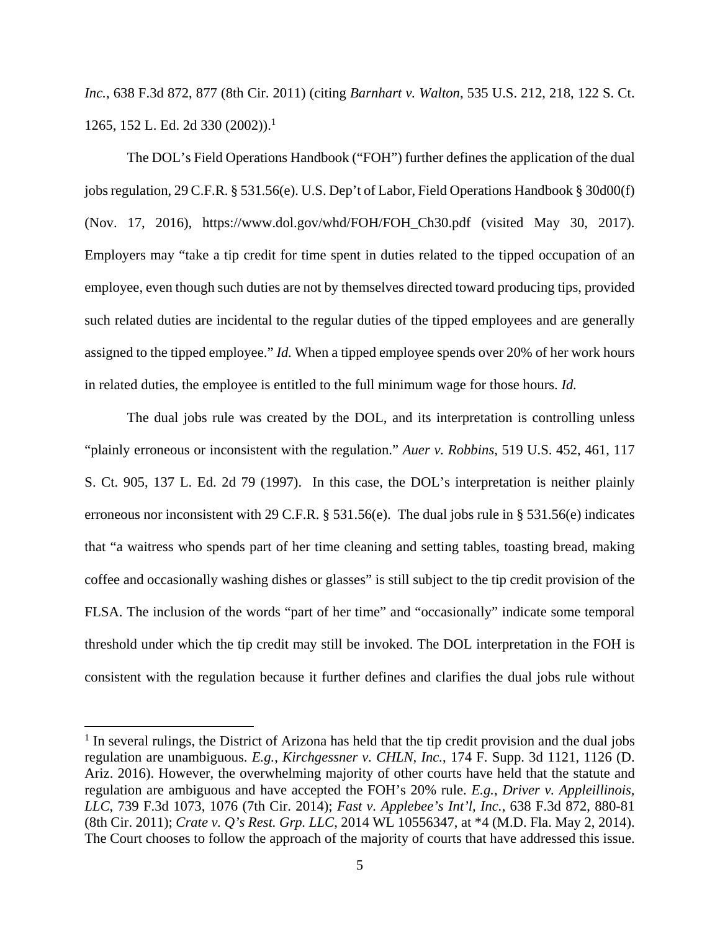*Inc.*, 638 F.3d 872, 877 (8th Cir. 2011) (citing *Barnhart v. Walton*, 535 U.S. 212, 218, 122 S. Ct. 1265, 152 L. Ed. 2d 330 (2002)).<sup>1</sup>

The DOL's Field Operations Handbook ("FOH") further defines the application of the dual jobs regulation, 29 C.F.R. § 531.56(e). U.S. Dep't of Labor, Field Operations Handbook § 30d00(f) (Nov. 17, 2016), https://www.dol.gov/whd/FOH/FOH\_Ch30.pdf (visited May 30, 2017). Employers may "take a tip credit for time spent in duties related to the tipped occupation of an employee, even though such duties are not by themselves directed toward producing tips, provided such related duties are incidental to the regular duties of the tipped employees and are generally assigned to the tipped employee." *Id.* When a tipped employee spends over 20% of her work hours in related duties, the employee is entitled to the full minimum wage for those hours. *Id.*

The dual jobs rule was created by the DOL, and its interpretation is controlling unless "plainly erroneous or inconsistent with the regulation." *Auer v. Robbins*, 519 U.S. 452, 461, 117 S. Ct. 905, 137 L. Ed. 2d 79 (1997). In this case, the DOL's interpretation is neither plainly erroneous nor inconsistent with 29 C.F.R. § 531.56(e). The dual jobs rule in § 531.56(e) indicates that "a waitress who spends part of her time cleaning and setting tables, toasting bread, making coffee and occasionally washing dishes or glasses" is still subject to the tip credit provision of the FLSA. The inclusion of the words "part of her time" and "occasionally" indicate some temporal threshold under which the tip credit may still be invoked. The DOL interpretation in the FOH is consistent with the regulation because it further defines and clarifies the dual jobs rule without

<sup>&</sup>lt;sup>1</sup> In several rulings, the District of Arizona has held that the tip credit provision and the dual jobs regulation are unambiguous. *E.g.*, *Kirchgessner v. CHLN, Inc.*, 174 F. Supp. 3d 1121, 1126 (D. Ariz. 2016). However, the overwhelming majority of other courts have held that the statute and regulation are ambiguous and have accepted the FOH's 20% rule. *E.g.*, *Driver v. Appleillinois, LLC*, 739 F.3d 1073, 1076 (7th Cir. 2014); *Fast v. Applebee's Int'l, Inc.*, 638 F.3d 872, 880-81 (8th Cir. 2011); *Crate v. Q's Rest. Grp. LLC*, 2014 WL 10556347, at \*4 (M.D. Fla. May 2, 2014). The Court chooses to follow the approach of the majority of courts that have addressed this issue.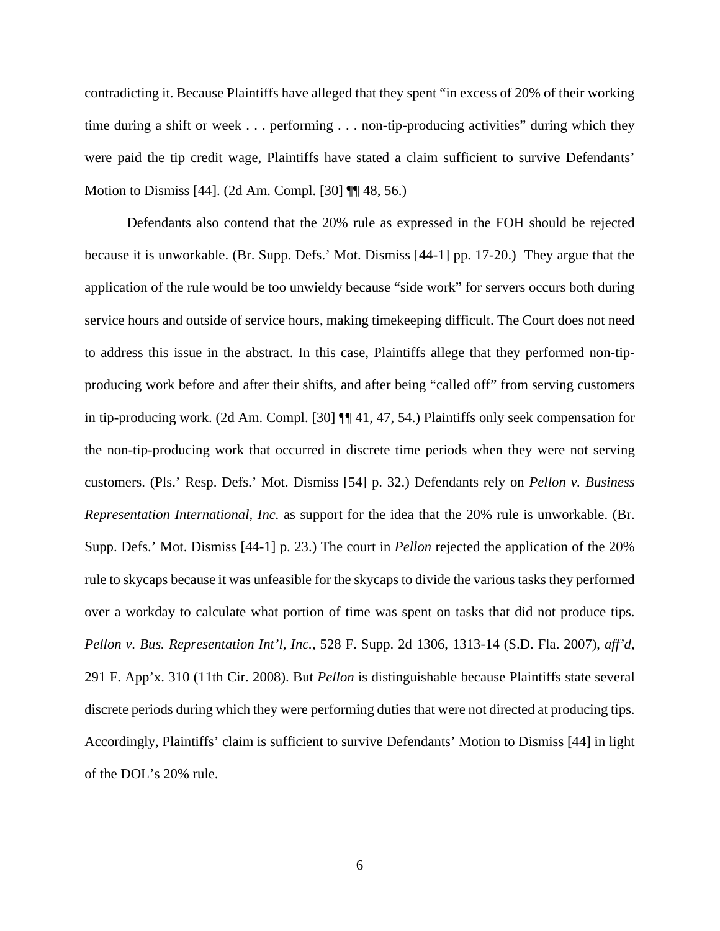contradicting it. Because Plaintiffs have alleged that they spent "in excess of 20% of their working time during a shift or week . . . performing . . . non-tip-producing activities" during which they were paid the tip credit wage, Plaintiffs have stated a claim sufficient to survive Defendants' Motion to Dismiss [44]. (2d Am. Compl. [30] ¶¶ 48, 56.)

Defendants also contend that the 20% rule as expressed in the FOH should be rejected because it is unworkable. (Br. Supp. Defs.' Mot. Dismiss [44-1] pp. 17-20.) They argue that the application of the rule would be too unwieldy because "side work" for servers occurs both during service hours and outside of service hours, making timekeeping difficult. The Court does not need to address this issue in the abstract. In this case, Plaintiffs allege that they performed non-tipproducing work before and after their shifts, and after being "called off" from serving customers in tip-producing work. (2d Am. Compl. [30] ¶¶ 41, 47, 54.) Plaintiffs only seek compensation for the non-tip-producing work that occurred in discrete time periods when they were not serving customers. (Pls.' Resp. Defs.' Mot. Dismiss [54] p. 32.) Defendants rely on *Pellon v. Business Representation International, Inc.* as support for the idea that the 20% rule is unworkable. (Br. Supp. Defs.' Mot. Dismiss [44-1] p. 23.) The court in *Pellon* rejected the application of the 20% rule to skycaps because it was unfeasible for the skycaps to divide the various tasks they performed over a workday to calculate what portion of time was spent on tasks that did not produce tips. *Pellon v. Bus. Representation Int'l, Inc.*, 528 F. Supp. 2d 1306, 1313-14 (S.D. Fla. 2007), *aff'd*, 291 F. App'x. 310 (11th Cir. 2008). But *Pellon* is distinguishable because Plaintiffs state several discrete periods during which they were performing duties that were not directed at producing tips. Accordingly, Plaintiffs' claim is sufficient to survive Defendants' Motion to Dismiss [44] in light of the DOL's 20% rule.